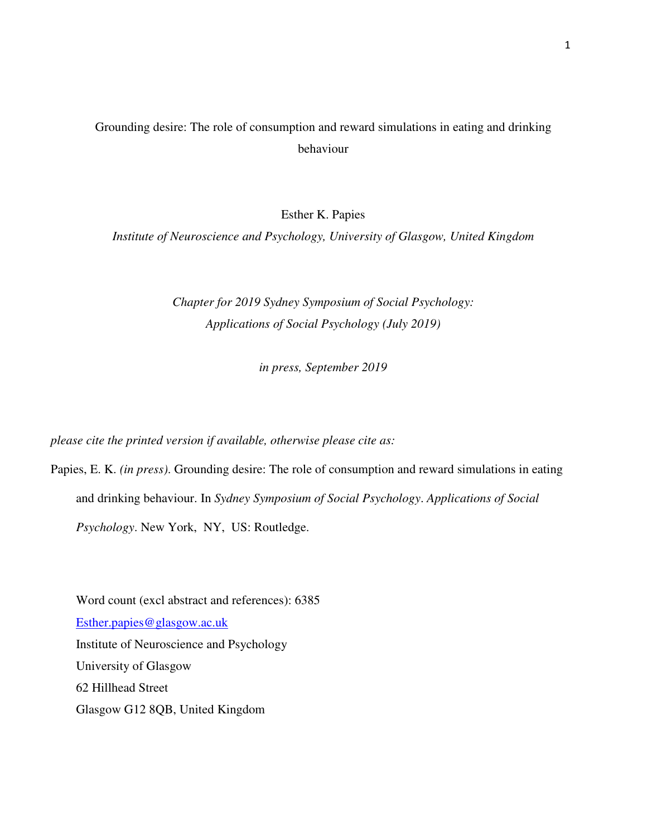# Grounding desire: The role of consumption and reward simulations in eating and drinking behaviour

Esther K. Papies

*Institute of Neuroscience and Psychology, University of Glasgow, United Kingdom* 

*Chapter for 2019 Sydney Symposium of Social Psychology: Applications of Social Psychology (July 2019)* 

*in press, September 2019* 

*please cite the printed version if available, otherwise please cite as:* 

Papies, E. K. *(in press)*. Grounding desire: The role of consumption and reward simulations in eating and drinking behaviour. In *Sydney Symposium of Social Psychology*. *Applications of Social Psychology*. New York, NY, US: Routledge.

Word count (excl abstract and references): 6385 Esther.papies@glasgow.ac.uk Institute of Neuroscience and Psychology University of Glasgow 62 Hillhead Street Glasgow G12 8QB, United Kingdom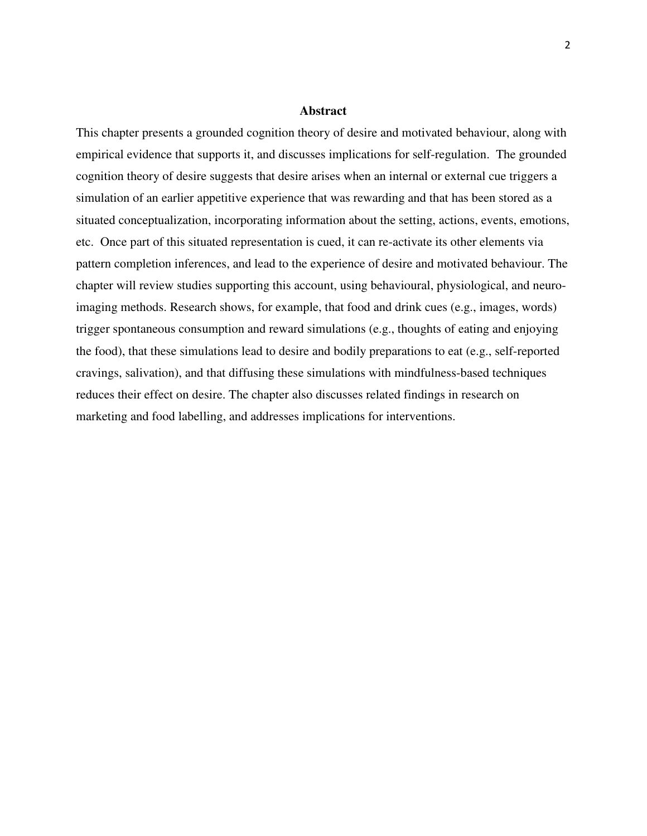#### **Abstract**

This chapter presents a grounded cognition theory of desire and motivated behaviour, along with empirical evidence that supports it, and discusses implications for self-regulation. The grounded cognition theory of desire suggests that desire arises when an internal or external cue triggers a simulation of an earlier appetitive experience that was rewarding and that has been stored as a situated conceptualization, incorporating information about the setting, actions, events, emotions, etc. Once part of this situated representation is cued, it can re-activate its other elements via pattern completion inferences, and lead to the experience of desire and motivated behaviour. The chapter will review studies supporting this account, using behavioural, physiological, and neuroimaging methods. Research shows, for example, that food and drink cues (e.g., images, words) trigger spontaneous consumption and reward simulations (e.g., thoughts of eating and enjoying the food), that these simulations lead to desire and bodily preparations to eat (e.g., self-reported cravings, salivation), and that diffusing these simulations with mindfulness-based techniques reduces their effect on desire. The chapter also discusses related findings in research on marketing and food labelling, and addresses implications for interventions.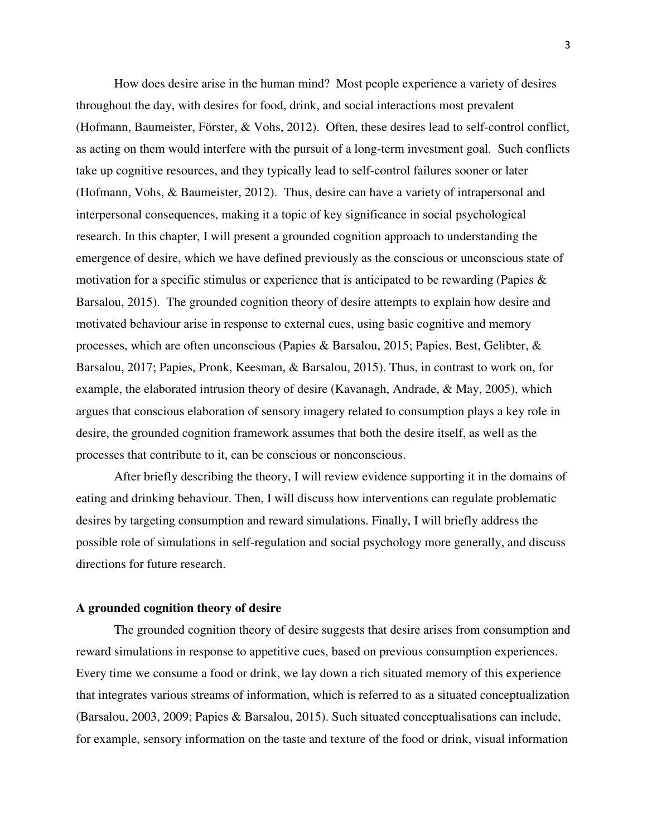How does desire arise in the human mind? Most people experience a variety of desires throughout the day, with desires for food, drink, and social interactions most prevalent (Hofmann, Baumeister, Förster, & Vohs, 2012). Often, these desires lead to self-control conflict, as acting on them would interfere with the pursuit of a long-term investment goal. Such conflicts take up cognitive resources, and they typically lead to self-control failures sooner or later (Hofmann, Vohs, & Baumeister, 2012). Thus, desire can have a variety of intrapersonal and interpersonal consequences, making it a topic of key significance in social psychological research. In this chapter, I will present a grounded cognition approach to understanding the emergence of desire, which we have defined previously as the conscious or unconscious state of motivation for a specific stimulus or experience that is anticipated to be rewarding (Papies & Barsalou, 2015). The grounded cognition theory of desire attempts to explain how desire and motivated behaviour arise in response to external cues, using basic cognitive and memory processes, which are often unconscious (Papies & Barsalou, 2015; Papies, Best, Gelibter, & Barsalou, 2017; Papies, Pronk, Keesman, & Barsalou, 2015). Thus, in contrast to work on, for example, the elaborated intrusion theory of desire (Kavanagh, Andrade, & May, 2005), which argues that conscious elaboration of sensory imagery related to consumption plays a key role in desire, the grounded cognition framework assumes that both the desire itself, as well as the processes that contribute to it, can be conscious or nonconscious.

After briefly describing the theory, I will review evidence supporting it in the domains of eating and drinking behaviour. Then, I will discuss how interventions can regulate problematic desires by targeting consumption and reward simulations. Finally, I will briefly address the possible role of simulations in self-regulation and social psychology more generally, and discuss directions for future research.

### **A grounded cognition theory of desire**

The grounded cognition theory of desire suggests that desire arises from consumption and reward simulations in response to appetitive cues, based on previous consumption experiences. Every time we consume a food or drink, we lay down a rich situated memory of this experience that integrates various streams of information, which is referred to as a situated conceptualization (Barsalou, 2003, 2009; Papies & Barsalou, 2015). Such situated conceptualisations can include, for example, sensory information on the taste and texture of the food or drink, visual information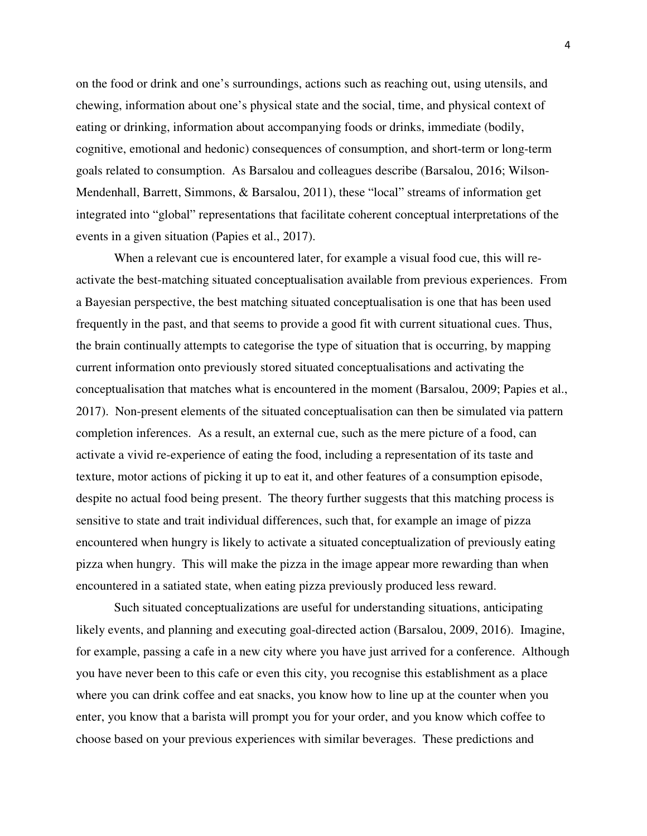on the food or drink and one's surroundings, actions such as reaching out, using utensils, and chewing, information about one's physical state and the social, time, and physical context of eating or drinking, information about accompanying foods or drinks, immediate (bodily, cognitive, emotional and hedonic) consequences of consumption, and short-term or long-term goals related to consumption. As Barsalou and colleagues describe (Barsalou, 2016; Wilson-Mendenhall, Barrett, Simmons, & Barsalou, 2011), these "local" streams of information get integrated into "global" representations that facilitate coherent conceptual interpretations of the events in a given situation (Papies et al., 2017).

When a relevant cue is encountered later, for example a visual food cue, this will reactivate the best-matching situated conceptualisation available from previous experiences. From a Bayesian perspective, the best matching situated conceptualisation is one that has been used frequently in the past, and that seems to provide a good fit with current situational cues. Thus, the brain continually attempts to categorise the type of situation that is occurring, by mapping current information onto previously stored situated conceptualisations and activating the conceptualisation that matches what is encountered in the moment (Barsalou, 2009; Papies et al., 2017). Non-present elements of the situated conceptualisation can then be simulated via pattern completion inferences. As a result, an external cue, such as the mere picture of a food, can activate a vivid re-experience of eating the food, including a representation of its taste and texture, motor actions of picking it up to eat it, and other features of a consumption episode, despite no actual food being present. The theory further suggests that this matching process is sensitive to state and trait individual differences, such that, for example an image of pizza encountered when hungry is likely to activate a situated conceptualization of previously eating pizza when hungry. This will make the pizza in the image appear more rewarding than when encountered in a satiated state, when eating pizza previously produced less reward.

Such situated conceptualizations are useful for understanding situations, anticipating likely events, and planning and executing goal-directed action (Barsalou, 2009, 2016). Imagine, for example, passing a cafe in a new city where you have just arrived for a conference. Although you have never been to this cafe or even this city, you recognise this establishment as a place where you can drink coffee and eat snacks, you know how to line up at the counter when you enter, you know that a barista will prompt you for your order, and you know which coffee to choose based on your previous experiences with similar beverages. These predictions and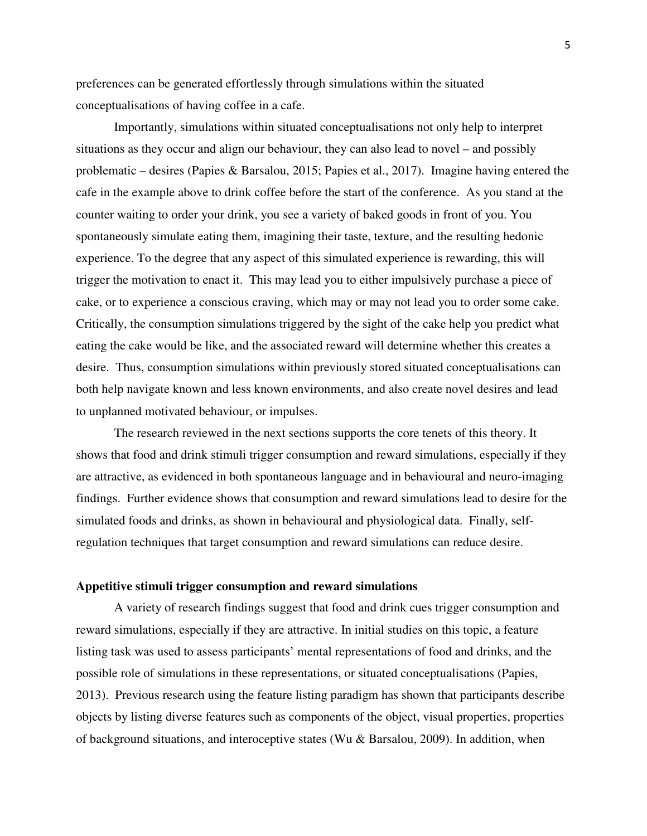preferences can be generated effortlessly through simulations within the situated conceptualisations of having coffee in a cafe.

Importantly, simulations within situated conceptualisations not only help to interpret situations as they occur and align our behaviour, they can also lead to novel – and possibly problematic – desires (Papies & Barsalou, 2015; Papies et al., 2017). Imagine having entered the cafe in the example above to drink coffee before the start of the conference. As you stand at the counter waiting to order your drink, you see a variety of baked goods in front of you. You spontaneously simulate eating them, imagining their taste, texture, and the resulting hedonic experience. To the degree that any aspect of this simulated experience is rewarding, this will trigger the motivation to enact it. This may lead you to either impulsively purchase a piece of cake, or to experience a conscious craving, which may or may not lead you to order some cake. Critically, the consumption simulations triggered by the sight of the cake help you predict what eating the cake would be like, and the associated reward will determine whether this creates a desire. Thus, consumption simulations within previously stored situated conceptualisations can both help navigate known and less known environments, and also create novel desires and lead to unplanned motivated behaviour, or impulses.

The research reviewed in the next sections supports the core tenets of this theory. It shows that food and drink stimuli trigger consumption and reward simulations, especially if they are attractive, as evidenced in both spontaneous language and in behavioural and neuro-imaging findings. Further evidence shows that consumption and reward simulations lead to desire for the simulated foods and drinks, as shown in behavioural and physiological data. Finally, selfregulation techniques that target consumption and reward simulations can reduce desire.

# **Appetitive stimuli trigger consumption and reward simulations**

A variety of research findings suggest that food and drink cues trigger consumption and reward simulations, especially if they are attractive. In initial studies on this topic, a feature listing task was used to assess participants' mental representations of food and drinks, and the possible role of simulations in these representations, or situated conceptualisations (Papies, 2013). Previous research using the feature listing paradigm has shown that participants describe objects by listing diverse features such as components of the object, visual properties, properties of background situations, and interoceptive states (Wu & Barsalou, 2009). In addition, when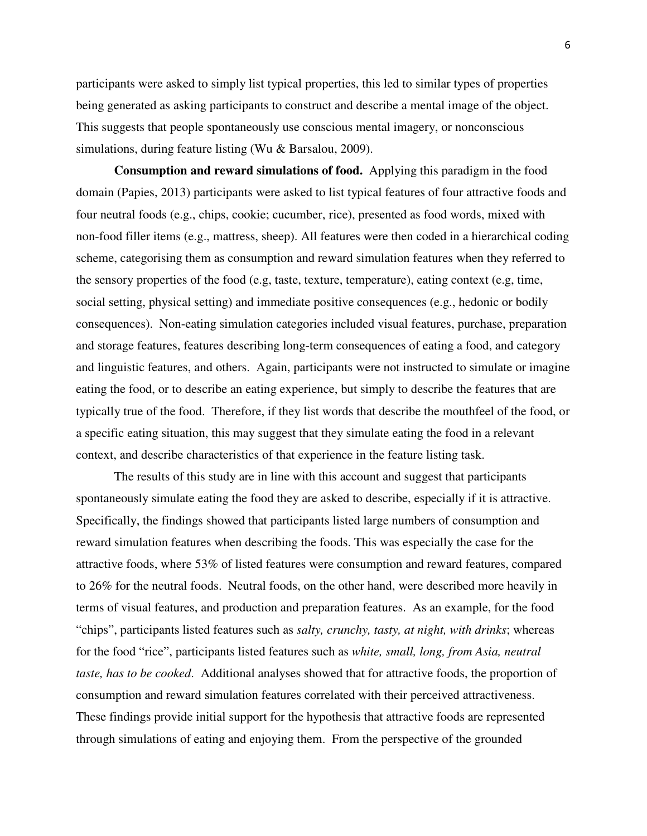participants were asked to simply list typical properties, this led to similar types of properties being generated as asking participants to construct and describe a mental image of the object. This suggests that people spontaneously use conscious mental imagery, or nonconscious simulations, during feature listing (Wu & Barsalou, 2009).

**Consumption and reward simulations of food.** Applying this paradigm in the food domain (Papies, 2013) participants were asked to list typical features of four attractive foods and four neutral foods (e.g., chips, cookie; cucumber, rice), presented as food words, mixed with non-food filler items (e.g., mattress, sheep). All features were then coded in a hierarchical coding scheme, categorising them as consumption and reward simulation features when they referred to the sensory properties of the food (e.g, taste, texture, temperature), eating context (e.g, time, social setting, physical setting) and immediate positive consequences (e.g., hedonic or bodily consequences). Non-eating simulation categories included visual features, purchase, preparation and storage features, features describing long-term consequences of eating a food, and category and linguistic features, and others. Again, participants were not instructed to simulate or imagine eating the food, or to describe an eating experience, but simply to describe the features that are typically true of the food. Therefore, if they list words that describe the mouthfeel of the food, or a specific eating situation, this may suggest that they simulate eating the food in a relevant context, and describe characteristics of that experience in the feature listing task.

The results of this study are in line with this account and suggest that participants spontaneously simulate eating the food they are asked to describe, especially if it is attractive. Specifically, the findings showed that participants listed large numbers of consumption and reward simulation features when describing the foods. This was especially the case for the attractive foods, where 53% of listed features were consumption and reward features, compared to 26% for the neutral foods. Neutral foods, on the other hand, were described more heavily in terms of visual features, and production and preparation features. As an example, for the food "chips", participants listed features such as *salty, crunchy, tasty, at night, with drinks*; whereas for the food "rice", participants listed features such as *white, small, long, from Asia, neutral taste, has to be cooked*. Additional analyses showed that for attractive foods, the proportion of consumption and reward simulation features correlated with their perceived attractiveness. These findings provide initial support for the hypothesis that attractive foods are represented through simulations of eating and enjoying them. From the perspective of the grounded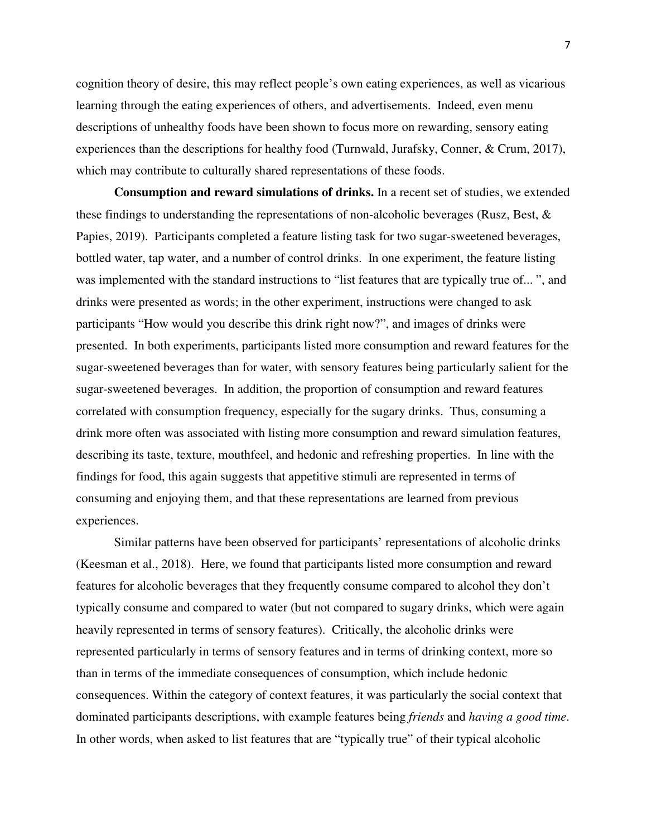cognition theory of desire, this may reflect people's own eating experiences, as well as vicarious learning through the eating experiences of others, and advertisements. Indeed, even menu descriptions of unhealthy foods have been shown to focus more on rewarding, sensory eating experiences than the descriptions for healthy food (Turnwald, Jurafsky, Conner, & Crum, 2017), which may contribute to culturally shared representations of these foods.

**Consumption and reward simulations of drinks.** In a recent set of studies, we extended these findings to understanding the representations of non-alcoholic beverages (Rusz, Best, & Papies, 2019). Participants completed a feature listing task for two sugar-sweetened beverages, bottled water, tap water, and a number of control drinks. In one experiment, the feature listing was implemented with the standard instructions to "list features that are typically true of...", and drinks were presented as words; in the other experiment, instructions were changed to ask participants "How would you describe this drink right now?", and images of drinks were presented. In both experiments, participants listed more consumption and reward features for the sugar-sweetened beverages than for water, with sensory features being particularly salient for the sugar-sweetened beverages. In addition, the proportion of consumption and reward features correlated with consumption frequency, especially for the sugary drinks. Thus, consuming a drink more often was associated with listing more consumption and reward simulation features, describing its taste, texture, mouthfeel, and hedonic and refreshing properties. In line with the findings for food, this again suggests that appetitive stimuli are represented in terms of consuming and enjoying them, and that these representations are learned from previous experiences.

Similar patterns have been observed for participants' representations of alcoholic drinks (Keesman et al., 2018). Here, we found that participants listed more consumption and reward features for alcoholic beverages that they frequently consume compared to alcohol they don't typically consume and compared to water (but not compared to sugary drinks, which were again heavily represented in terms of sensory features). Critically, the alcoholic drinks were represented particularly in terms of sensory features and in terms of drinking context, more so than in terms of the immediate consequences of consumption, which include hedonic consequences. Within the category of context features, it was particularly the social context that dominated participants descriptions, with example features being *friends* and *having a good time*. In other words, when asked to list features that are "typically true" of their typical alcoholic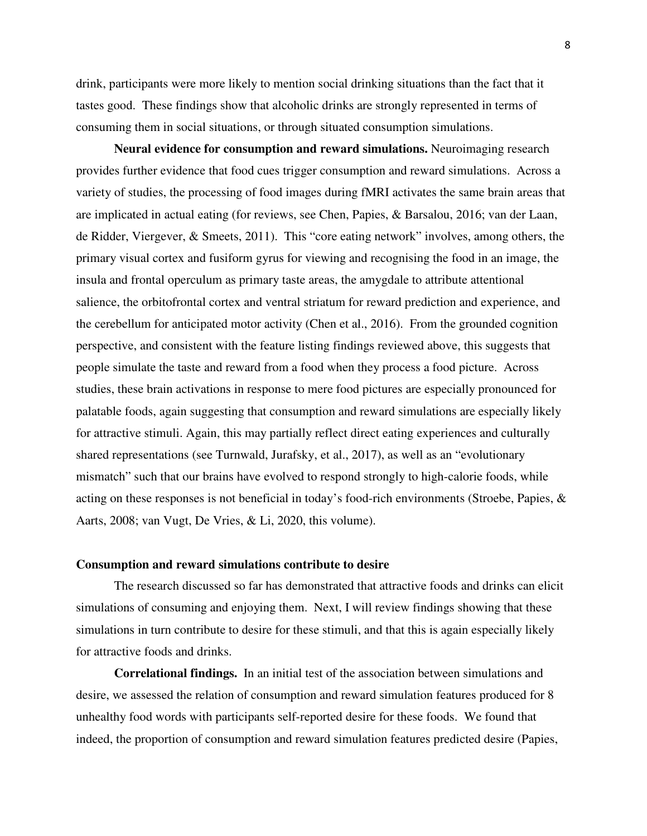drink, participants were more likely to mention social drinking situations than the fact that it tastes good. These findings show that alcoholic drinks are strongly represented in terms of consuming them in social situations, or through situated consumption simulations.

**Neural evidence for consumption and reward simulations.** Neuroimaging research provides further evidence that food cues trigger consumption and reward simulations. Across a variety of studies, the processing of food images during fMRI activates the same brain areas that are implicated in actual eating (for reviews, see Chen, Papies, & Barsalou, 2016; van der Laan, de Ridder, Viergever, & Smeets, 2011). This "core eating network" involves, among others, the primary visual cortex and fusiform gyrus for viewing and recognising the food in an image, the insula and frontal operculum as primary taste areas, the amygdale to attribute attentional salience, the orbitofrontal cortex and ventral striatum for reward prediction and experience, and the cerebellum for anticipated motor activity (Chen et al., 2016). From the grounded cognition perspective, and consistent with the feature listing findings reviewed above, this suggests that people simulate the taste and reward from a food when they process a food picture. Across studies, these brain activations in response to mere food pictures are especially pronounced for palatable foods, again suggesting that consumption and reward simulations are especially likely for attractive stimuli. Again, this may partially reflect direct eating experiences and culturally shared representations (see Turnwald, Jurafsky, et al., 2017), as well as an "evolutionary mismatch" such that our brains have evolved to respond strongly to high-calorie foods, while acting on these responses is not beneficial in today's food-rich environments (Stroebe, Papies, & Aarts, 2008; van Vugt, De Vries, & Li, 2020, this volume).

#### **Consumption and reward simulations contribute to desire**

The research discussed so far has demonstrated that attractive foods and drinks can elicit simulations of consuming and enjoying them. Next, I will review findings showing that these simulations in turn contribute to desire for these stimuli, and that this is again especially likely for attractive foods and drinks.

**Correlational findings.** In an initial test of the association between simulations and desire, we assessed the relation of consumption and reward simulation features produced for 8 unhealthy food words with participants self-reported desire for these foods. We found that indeed, the proportion of consumption and reward simulation features predicted desire (Papies,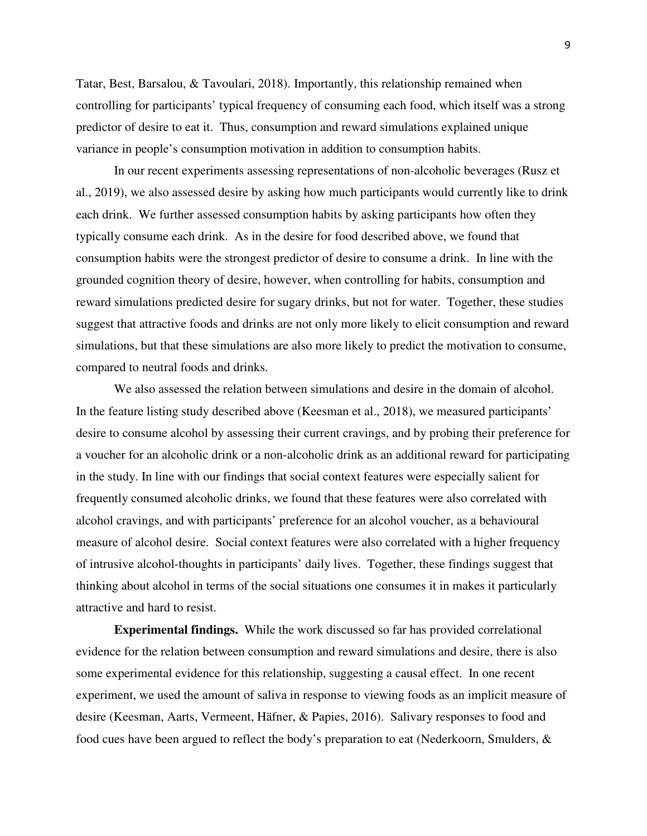Tatar, Best, Barsalou, & Tavoulari, 2018). Importantly, this relationship remained when controlling for participants' typical frequency of consuming each food, which itself was a strong predictor of desire to eat it. Thus, consumption and reward simulations explained unique variance in people's consumption motivation in addition to consumption habits.

 In our recent experiments assessing representations of non-alcoholic beverages (Rusz et al., 2019), we also assessed desire by asking how much participants would currently like to drink each drink. We further assessed consumption habits by asking participants how often they typically consume each drink. As in the desire for food described above, we found that consumption habits were the strongest predictor of desire to consume a drink. In line with the grounded cognition theory of desire, however, when controlling for habits, consumption and reward simulations predicted desire for sugary drinks, but not for water. Together, these studies suggest that attractive foods and drinks are not only more likely to elicit consumption and reward simulations, but that these simulations are also more likely to predict the motivation to consume, compared to neutral foods and drinks.

 We also assessed the relation between simulations and desire in the domain of alcohol. In the feature listing study described above (Keesman et al., 2018), we measured participants' desire to consume alcohol by assessing their current cravings, and by probing their preference for a voucher for an alcoholic drink or a non-alcoholic drink as an additional reward for participating in the study. In line with our findings that social context features were especially salient for frequently consumed alcoholic drinks, we found that these features were also correlated with alcohol cravings, and with participants' preference for an alcohol voucher, as a behavioural measure of alcohol desire. Social context features were also correlated with a higher frequency of intrusive alcohol-thoughts in participants' daily lives. Together, these findings suggest that thinking about alcohol in terms of the social situations one consumes it in makes it particularly attractive and hard to resist.

**Experimental findings.** While the work discussed so far has provided correlational evidence for the relation between consumption and reward simulations and desire, there is also some experimental evidence for this relationship, suggesting a causal effect. In one recent experiment, we used the amount of saliva in response to viewing foods as an implicit measure of desire (Keesman, Aarts, Vermeent, Häfner, & Papies, 2016). Salivary responses to food and food cues have been argued to reflect the body's preparation to eat (Nederkoorn, Smulders, &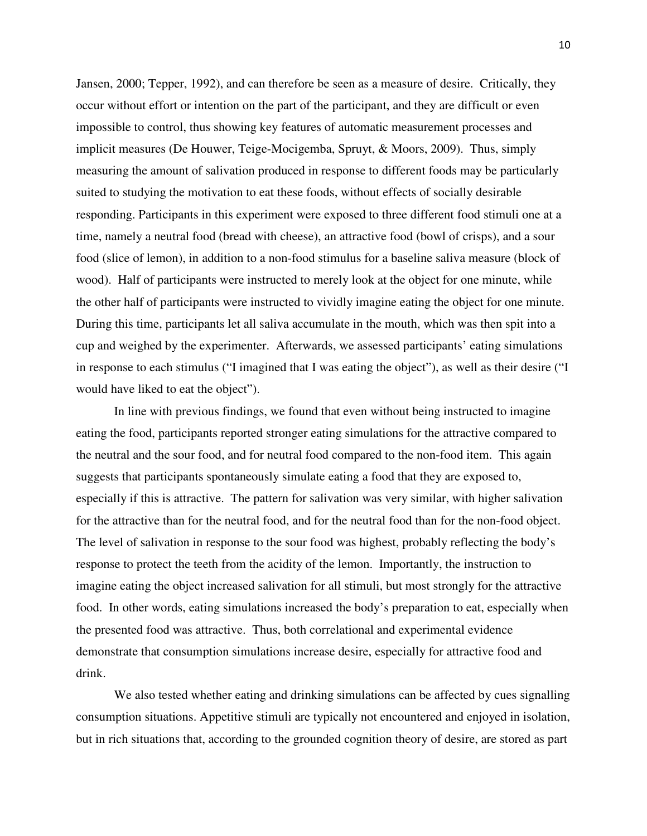Jansen, 2000; Tepper, 1992), and can therefore be seen as a measure of desire. Critically, they occur without effort or intention on the part of the participant, and they are difficult or even impossible to control, thus showing key features of automatic measurement processes and implicit measures (De Houwer, Teige-Mocigemba, Spruyt, & Moors, 2009). Thus, simply measuring the amount of salivation produced in response to different foods may be particularly suited to studying the motivation to eat these foods, without effects of socially desirable responding. Participants in this experiment were exposed to three different food stimuli one at a time, namely a neutral food (bread with cheese), an attractive food (bowl of crisps), and a sour food (slice of lemon), in addition to a non-food stimulus for a baseline saliva measure (block of wood). Half of participants were instructed to merely look at the object for one minute, while the other half of participants were instructed to vividly imagine eating the object for one minute. During this time, participants let all saliva accumulate in the mouth, which was then spit into a cup and weighed by the experimenter. Afterwards, we assessed participants' eating simulations in response to each stimulus ("I imagined that I was eating the object"), as well as their desire ("I would have liked to eat the object").

In line with previous findings, we found that even without being instructed to imagine eating the food, participants reported stronger eating simulations for the attractive compared to the neutral and the sour food, and for neutral food compared to the non-food item. This again suggests that participants spontaneously simulate eating a food that they are exposed to, especially if this is attractive. The pattern for salivation was very similar, with higher salivation for the attractive than for the neutral food, and for the neutral food than for the non-food object. The level of salivation in response to the sour food was highest, probably reflecting the body's response to protect the teeth from the acidity of the lemon. Importantly, the instruction to imagine eating the object increased salivation for all stimuli, but most strongly for the attractive food. In other words, eating simulations increased the body's preparation to eat, especially when the presented food was attractive. Thus, both correlational and experimental evidence demonstrate that consumption simulations increase desire, especially for attractive food and drink.

We also tested whether eating and drinking simulations can be affected by cues signalling consumption situations. Appetitive stimuli are typically not encountered and enjoyed in isolation, but in rich situations that, according to the grounded cognition theory of desire, are stored as part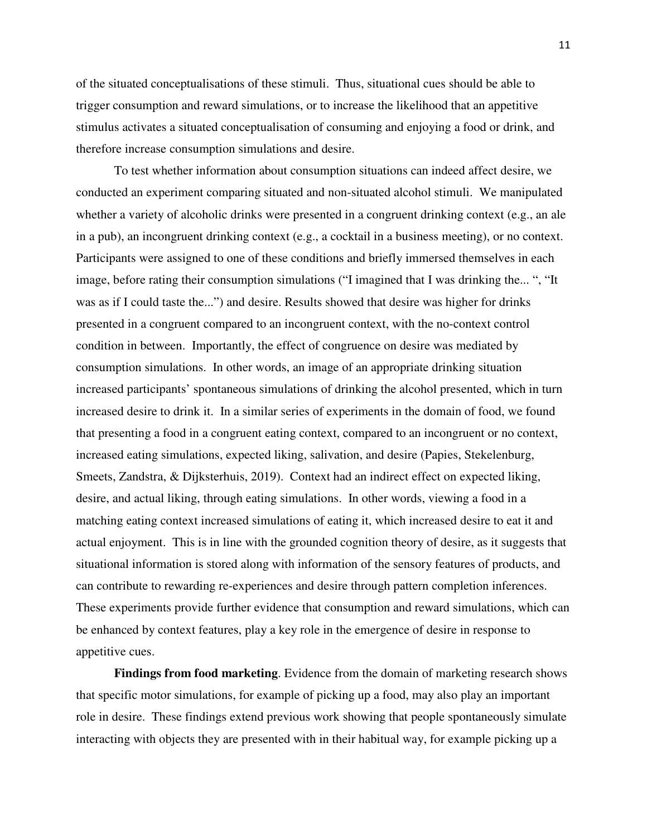of the situated conceptualisations of these stimuli. Thus, situational cues should be able to trigger consumption and reward simulations, or to increase the likelihood that an appetitive stimulus activates a situated conceptualisation of consuming and enjoying a food or drink, and therefore increase consumption simulations and desire.

To test whether information about consumption situations can indeed affect desire, we conducted an experiment comparing situated and non-situated alcohol stimuli. We manipulated whether a variety of alcoholic drinks were presented in a congruent drinking context (e.g., an ale in a pub), an incongruent drinking context (e.g., a cocktail in a business meeting), or no context. Participants were assigned to one of these conditions and briefly immersed themselves in each image, before rating their consumption simulations ("I imagined that I was drinking the... ", "It was as if I could taste the...") and desire. Results showed that desire was higher for drinks presented in a congruent compared to an incongruent context, with the no-context control condition in between. Importantly, the effect of congruence on desire was mediated by consumption simulations. In other words, an image of an appropriate drinking situation increased participants' spontaneous simulations of drinking the alcohol presented, which in turn increased desire to drink it. In a similar series of experiments in the domain of food, we found that presenting a food in a congruent eating context, compared to an incongruent or no context, increased eating simulations, expected liking, salivation, and desire (Papies, Stekelenburg, Smeets, Zandstra, & Dijksterhuis, 2019). Context had an indirect effect on expected liking, desire, and actual liking, through eating simulations. In other words, viewing a food in a matching eating context increased simulations of eating it, which increased desire to eat it and actual enjoyment. This is in line with the grounded cognition theory of desire, as it suggests that situational information is stored along with information of the sensory features of products, and can contribute to rewarding re-experiences and desire through pattern completion inferences. These experiments provide further evidence that consumption and reward simulations, which can be enhanced by context features, play a key role in the emergence of desire in response to appetitive cues.

**Findings from food marketing**. Evidence from the domain of marketing research shows that specific motor simulations, for example of picking up a food, may also play an important role in desire. These findings extend previous work showing that people spontaneously simulate interacting with objects they are presented with in their habitual way, for example picking up a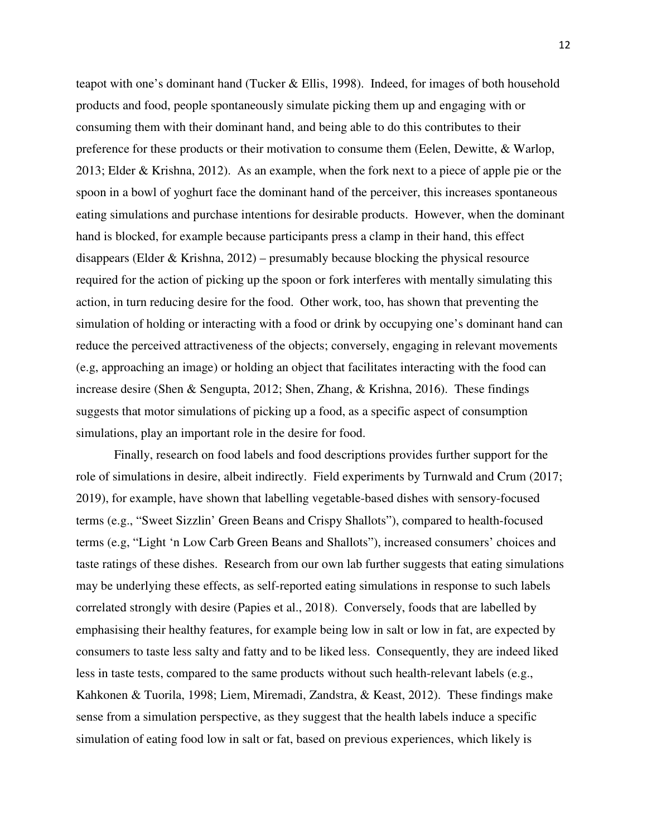teapot with one's dominant hand (Tucker & Ellis, 1998). Indeed, for images of both household products and food, people spontaneously simulate picking them up and engaging with or consuming them with their dominant hand, and being able to do this contributes to their preference for these products or their motivation to consume them (Eelen, Dewitte, & Warlop, 2013; Elder & Krishna, 2012). As an example, when the fork next to a piece of apple pie or the spoon in a bowl of yoghurt face the dominant hand of the perceiver, this increases spontaneous eating simulations and purchase intentions for desirable products. However, when the dominant hand is blocked, for example because participants press a clamp in their hand, this effect disappears (Elder & Krishna, 2012) – presumably because blocking the physical resource required for the action of picking up the spoon or fork interferes with mentally simulating this action, in turn reducing desire for the food. Other work, too, has shown that preventing the simulation of holding or interacting with a food or drink by occupying one's dominant hand can reduce the perceived attractiveness of the objects; conversely, engaging in relevant movements (e.g, approaching an image) or holding an object that facilitates interacting with the food can increase desire (Shen & Sengupta, 2012; Shen, Zhang, & Krishna, 2016). These findings suggests that motor simulations of picking up a food, as a specific aspect of consumption simulations, play an important role in the desire for food.

 Finally, research on food labels and food descriptions provides further support for the role of simulations in desire, albeit indirectly. Field experiments by Turnwald and Crum (2017; 2019), for example, have shown that labelling vegetable-based dishes with sensory-focused terms (e.g., "Sweet Sizzlin' Green Beans and Crispy Shallots"), compared to health-focused terms (e.g, "Light 'n Low Carb Green Beans and Shallots"), increased consumers' choices and taste ratings of these dishes. Research from our own lab further suggests that eating simulations may be underlying these effects, as self-reported eating simulations in response to such labels correlated strongly with desire (Papies et al., 2018). Conversely, foods that are labelled by emphasising their healthy features, for example being low in salt or low in fat, are expected by consumers to taste less salty and fatty and to be liked less. Consequently, they are indeed liked less in taste tests, compared to the same products without such health-relevant labels (e.g., Kahkonen & Tuorila, 1998; Liem, Miremadi, Zandstra, & Keast, 2012). These findings make sense from a simulation perspective, as they suggest that the health labels induce a specific simulation of eating food low in salt or fat, based on previous experiences, which likely is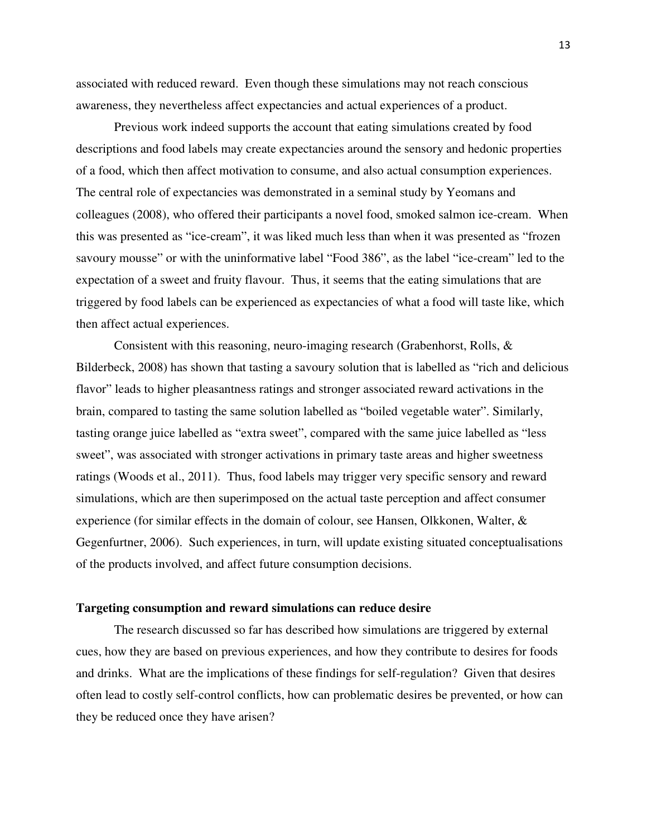associated with reduced reward. Even though these simulations may not reach conscious awareness, they nevertheless affect expectancies and actual experiences of a product.

 Previous work indeed supports the account that eating simulations created by food descriptions and food labels may create expectancies around the sensory and hedonic properties of a food, which then affect motivation to consume, and also actual consumption experiences. The central role of expectancies was demonstrated in a seminal study by Yeomans and colleagues (2008), who offered their participants a novel food, smoked salmon ice-cream. When this was presented as "ice-cream", it was liked much less than when it was presented as "frozen savoury mousse" or with the uninformative label "Food 386", as the label "ice-cream" led to the expectation of a sweet and fruity flavour. Thus, it seems that the eating simulations that are triggered by food labels can be experienced as expectancies of what a food will taste like, which then affect actual experiences.

Consistent with this reasoning, neuro-imaging research (Grabenhorst, Rolls, & Bilderbeck, 2008) has shown that tasting a savoury solution that is labelled as "rich and delicious flavor" leads to higher pleasantness ratings and stronger associated reward activations in the brain, compared to tasting the same solution labelled as "boiled vegetable water". Similarly, tasting orange juice labelled as "extra sweet", compared with the same juice labelled as "less sweet", was associated with stronger activations in primary taste areas and higher sweetness ratings (Woods et al., 2011). Thus, food labels may trigger very specific sensory and reward simulations, which are then superimposed on the actual taste perception and affect consumer experience (for similar effects in the domain of colour, see Hansen, Olkkonen, Walter, & Gegenfurtner, 2006). Such experiences, in turn, will update existing situated conceptualisations of the products involved, and affect future consumption decisions.

#### **Targeting consumption and reward simulations can reduce desire**

The research discussed so far has described how simulations are triggered by external cues, how they are based on previous experiences, and how they contribute to desires for foods and drinks. What are the implications of these findings for self-regulation? Given that desires often lead to costly self-control conflicts, how can problematic desires be prevented, or how can they be reduced once they have arisen?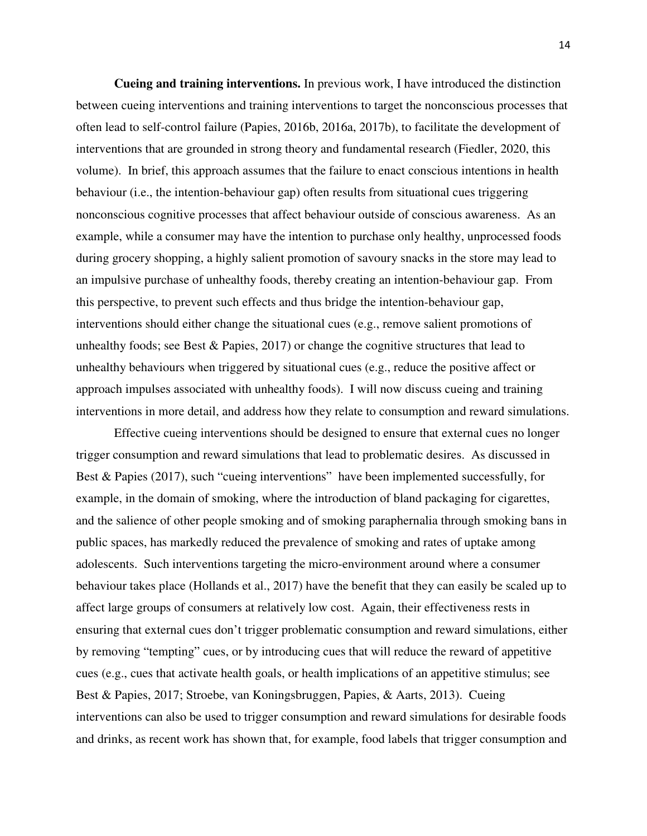**Cueing and training interventions.** In previous work, I have introduced the distinction between cueing interventions and training interventions to target the nonconscious processes that often lead to self-control failure (Papies, 2016b, 2016a, 2017b), to facilitate the development of interventions that are grounded in strong theory and fundamental research (Fiedler, 2020, this volume). In brief, this approach assumes that the failure to enact conscious intentions in health behaviour (i.e., the intention-behaviour gap) often results from situational cues triggering nonconscious cognitive processes that affect behaviour outside of conscious awareness. As an example, while a consumer may have the intention to purchase only healthy, unprocessed foods during grocery shopping, a highly salient promotion of savoury snacks in the store may lead to an impulsive purchase of unhealthy foods, thereby creating an intention-behaviour gap. From this perspective, to prevent such effects and thus bridge the intention-behaviour gap, interventions should either change the situational cues (e.g., remove salient promotions of unhealthy foods; see Best & Papies, 2017) or change the cognitive structures that lead to unhealthy behaviours when triggered by situational cues (e.g., reduce the positive affect or approach impulses associated with unhealthy foods). I will now discuss cueing and training interventions in more detail, and address how they relate to consumption and reward simulations.

Effective cueing interventions should be designed to ensure that external cues no longer trigger consumption and reward simulations that lead to problematic desires. As discussed in Best & Papies (2017), such "cueing interventions" have been implemented successfully, for example, in the domain of smoking, where the introduction of bland packaging for cigarettes, and the salience of other people smoking and of smoking paraphernalia through smoking bans in public spaces, has markedly reduced the prevalence of smoking and rates of uptake among adolescents. Such interventions targeting the micro-environment around where a consumer behaviour takes place (Hollands et al., 2017) have the benefit that they can easily be scaled up to affect large groups of consumers at relatively low cost. Again, their effectiveness rests in ensuring that external cues don't trigger problematic consumption and reward simulations, either by removing "tempting" cues, or by introducing cues that will reduce the reward of appetitive cues (e.g., cues that activate health goals, or health implications of an appetitive stimulus; see Best & Papies, 2017; Stroebe, van Koningsbruggen, Papies, & Aarts, 2013). Cueing interventions can also be used to trigger consumption and reward simulations for desirable foods and drinks, as recent work has shown that, for example, food labels that trigger consumption and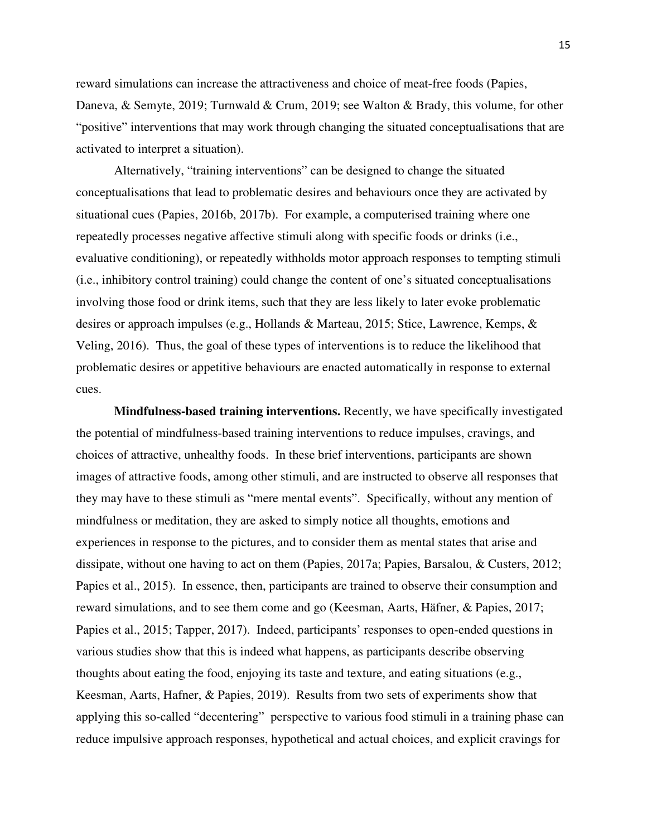reward simulations can increase the attractiveness and choice of meat-free foods (Papies, Daneva, & Semyte, 2019; Turnwald & Crum, 2019; see Walton & Brady, this volume, for other "positive" interventions that may work through changing the situated conceptualisations that are activated to interpret a situation).

 Alternatively, "training interventions" can be designed to change the situated conceptualisations that lead to problematic desires and behaviours once they are activated by situational cues (Papies, 2016b, 2017b). For example, a computerised training where one repeatedly processes negative affective stimuli along with specific foods or drinks (i.e., evaluative conditioning), or repeatedly withholds motor approach responses to tempting stimuli (i.e., inhibitory control training) could change the content of one's situated conceptualisations involving those food or drink items, such that they are less likely to later evoke problematic desires or approach impulses (e.g., Hollands & Marteau, 2015; Stice, Lawrence, Kemps, & Veling, 2016). Thus, the goal of these types of interventions is to reduce the likelihood that problematic desires or appetitive behaviours are enacted automatically in response to external cues.

**Mindfulness-based training interventions.** Recently, we have specifically investigated the potential of mindfulness-based training interventions to reduce impulses, cravings, and choices of attractive, unhealthy foods. In these brief interventions, participants are shown images of attractive foods, among other stimuli, and are instructed to observe all responses that they may have to these stimuli as "mere mental events". Specifically, without any mention of mindfulness or meditation, they are asked to simply notice all thoughts, emotions and experiences in response to the pictures, and to consider them as mental states that arise and dissipate, without one having to act on them (Papies, 2017a; Papies, Barsalou, & Custers, 2012; Papies et al., 2015). In essence, then, participants are trained to observe their consumption and reward simulations, and to see them come and go (Keesman, Aarts, Häfner, & Papies, 2017; Papies et al., 2015; Tapper, 2017). Indeed, participants' responses to open-ended questions in various studies show that this is indeed what happens, as participants describe observing thoughts about eating the food, enjoying its taste and texture, and eating situations (e.g., Keesman, Aarts, Hafner, & Papies, 2019). Results from two sets of experiments show that applying this so-called "decentering" perspective to various food stimuli in a training phase can reduce impulsive approach responses, hypothetical and actual choices, and explicit cravings for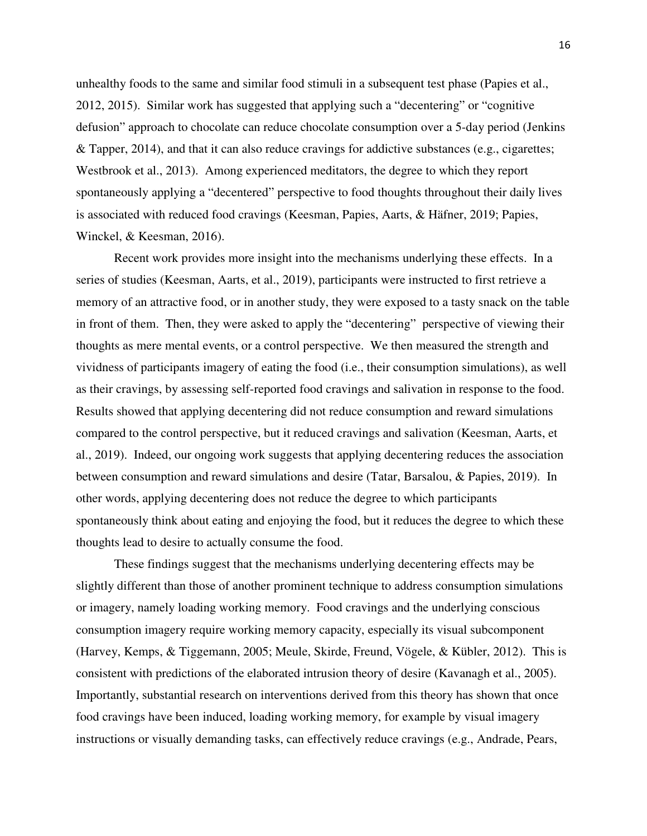unhealthy foods to the same and similar food stimuli in a subsequent test phase (Papies et al., 2012, 2015). Similar work has suggested that applying such a "decentering" or "cognitive defusion" approach to chocolate can reduce chocolate consumption over a 5-day period (Jenkins & Tapper, 2014), and that it can also reduce cravings for addictive substances (e.g., cigarettes; Westbrook et al., 2013). Among experienced meditators, the degree to which they report spontaneously applying a "decentered" perspective to food thoughts throughout their daily lives is associated with reduced food cravings (Keesman, Papies, Aarts, & Häfner, 2019; Papies, Winckel, & Keesman, 2016).

 Recent work provides more insight into the mechanisms underlying these effects. In a series of studies (Keesman, Aarts, et al., 2019), participants were instructed to first retrieve a memory of an attractive food, or in another study, they were exposed to a tasty snack on the table in front of them. Then, they were asked to apply the "decentering" perspective of viewing their thoughts as mere mental events, or a control perspective. We then measured the strength and vividness of participants imagery of eating the food (i.e., their consumption simulations), as well as their cravings, by assessing self-reported food cravings and salivation in response to the food. Results showed that applying decentering did not reduce consumption and reward simulations compared to the control perspective, but it reduced cravings and salivation (Keesman, Aarts, et al., 2019). Indeed, our ongoing work suggests that applying decentering reduces the association between consumption and reward simulations and desire (Tatar, Barsalou, & Papies, 2019). In other words, applying decentering does not reduce the degree to which participants spontaneously think about eating and enjoying the food, but it reduces the degree to which these thoughts lead to desire to actually consume the food.

 These findings suggest that the mechanisms underlying decentering effects may be slightly different than those of another prominent technique to address consumption simulations or imagery, namely loading working memory. Food cravings and the underlying conscious consumption imagery require working memory capacity, especially its visual subcomponent (Harvey, Kemps, & Tiggemann, 2005; Meule, Skirde, Freund, Vögele, & Kübler, 2012). This is consistent with predictions of the elaborated intrusion theory of desire (Kavanagh et al., 2005). Importantly, substantial research on interventions derived from this theory has shown that once food cravings have been induced, loading working memory, for example by visual imagery instructions or visually demanding tasks, can effectively reduce cravings (e.g., Andrade, Pears,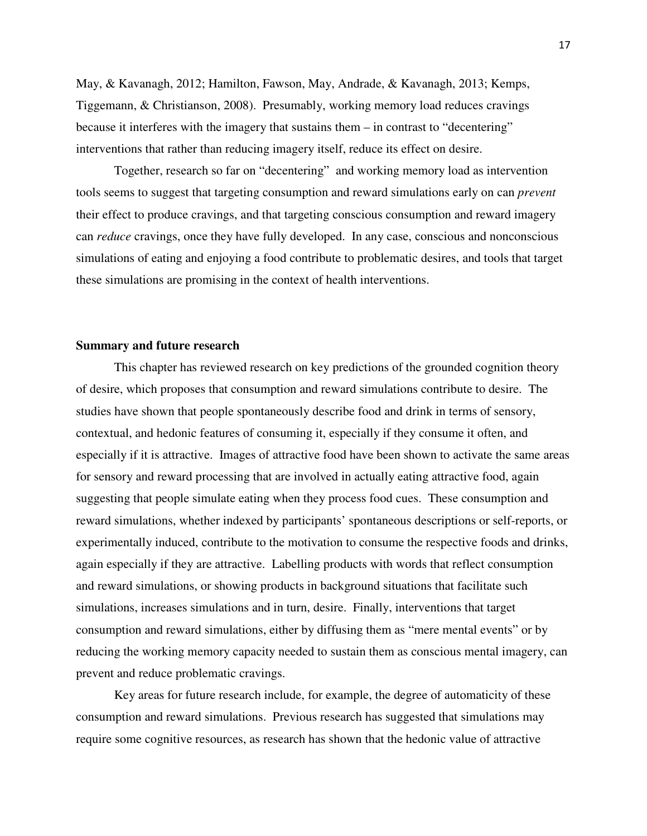May, & Kavanagh, 2012; Hamilton, Fawson, May, Andrade, & Kavanagh, 2013; Kemps, Tiggemann, & Christianson, 2008). Presumably, working memory load reduces cravings because it interferes with the imagery that sustains them – in contrast to "decentering" interventions that rather than reducing imagery itself, reduce its effect on desire.

Together, research so far on "decentering" and working memory load as intervention tools seems to suggest that targeting consumption and reward simulations early on can *prevent* their effect to produce cravings, and that targeting conscious consumption and reward imagery can *reduce* cravings, once they have fully developed. In any case, conscious and nonconscious simulations of eating and enjoying a food contribute to problematic desires, and tools that target these simulations are promising in the context of health interventions.

## **Summary and future research**

This chapter has reviewed research on key predictions of the grounded cognition theory of desire, which proposes that consumption and reward simulations contribute to desire. The studies have shown that people spontaneously describe food and drink in terms of sensory, contextual, and hedonic features of consuming it, especially if they consume it often, and especially if it is attractive. Images of attractive food have been shown to activate the same areas for sensory and reward processing that are involved in actually eating attractive food, again suggesting that people simulate eating when they process food cues. These consumption and reward simulations, whether indexed by participants' spontaneous descriptions or self-reports, or experimentally induced, contribute to the motivation to consume the respective foods and drinks, again especially if they are attractive. Labelling products with words that reflect consumption and reward simulations, or showing products in background situations that facilitate such simulations, increases simulations and in turn, desire. Finally, interventions that target consumption and reward simulations, either by diffusing them as "mere mental events" or by reducing the working memory capacity needed to sustain them as conscious mental imagery, can prevent and reduce problematic cravings.

Key areas for future research include, for example, the degree of automaticity of these consumption and reward simulations. Previous research has suggested that simulations may require some cognitive resources, as research has shown that the hedonic value of attractive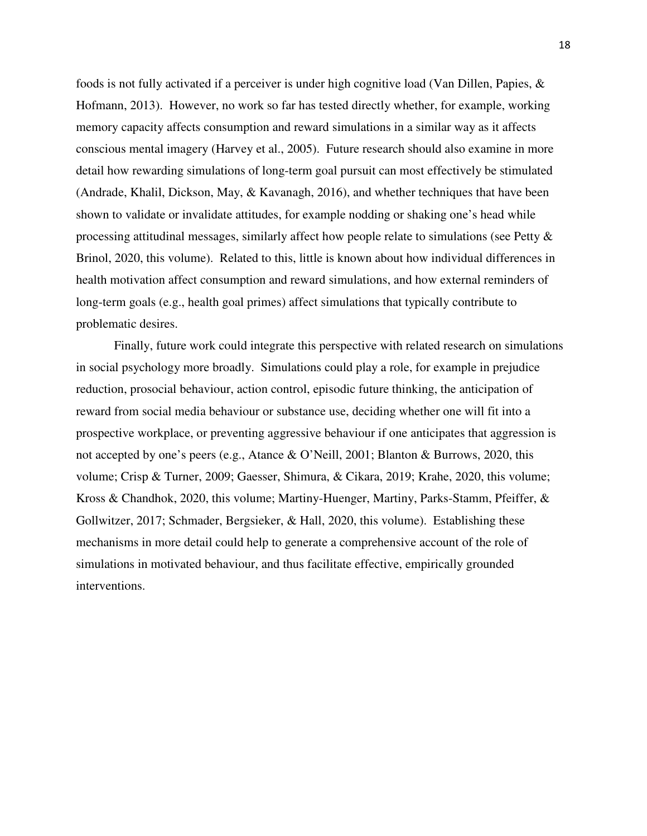foods is not fully activated if a perceiver is under high cognitive load (Van Dillen, Papies, & Hofmann, 2013). However, no work so far has tested directly whether, for example, working memory capacity affects consumption and reward simulations in a similar way as it affects conscious mental imagery (Harvey et al., 2005). Future research should also examine in more detail how rewarding simulations of long-term goal pursuit can most effectively be stimulated (Andrade, Khalil, Dickson, May, & Kavanagh, 2016), and whether techniques that have been shown to validate or invalidate attitudes, for example nodding or shaking one's head while processing attitudinal messages, similarly affect how people relate to simulations (see Petty  $\&$ Brinol, 2020, this volume). Related to this, little is known about how individual differences in health motivation affect consumption and reward simulations, and how external reminders of long-term goals (e.g., health goal primes) affect simulations that typically contribute to problematic desires.

Finally, future work could integrate this perspective with related research on simulations in social psychology more broadly. Simulations could play a role, for example in prejudice reduction, prosocial behaviour, action control, episodic future thinking, the anticipation of reward from social media behaviour or substance use, deciding whether one will fit into a prospective workplace, or preventing aggressive behaviour if one anticipates that aggression is not accepted by one's peers (e.g., Atance & O'Neill, 2001; Blanton & Burrows, 2020, this volume; Crisp & Turner, 2009; Gaesser, Shimura, & Cikara, 2019; Krahe, 2020, this volume; Kross & Chandhok, 2020, this volume; Martiny-Huenger, Martiny, Parks-Stamm, Pfeiffer, & Gollwitzer, 2017; Schmader, Bergsieker, & Hall, 2020, this volume). Establishing these mechanisms in more detail could help to generate a comprehensive account of the role of simulations in motivated behaviour, and thus facilitate effective, empirically grounded interventions.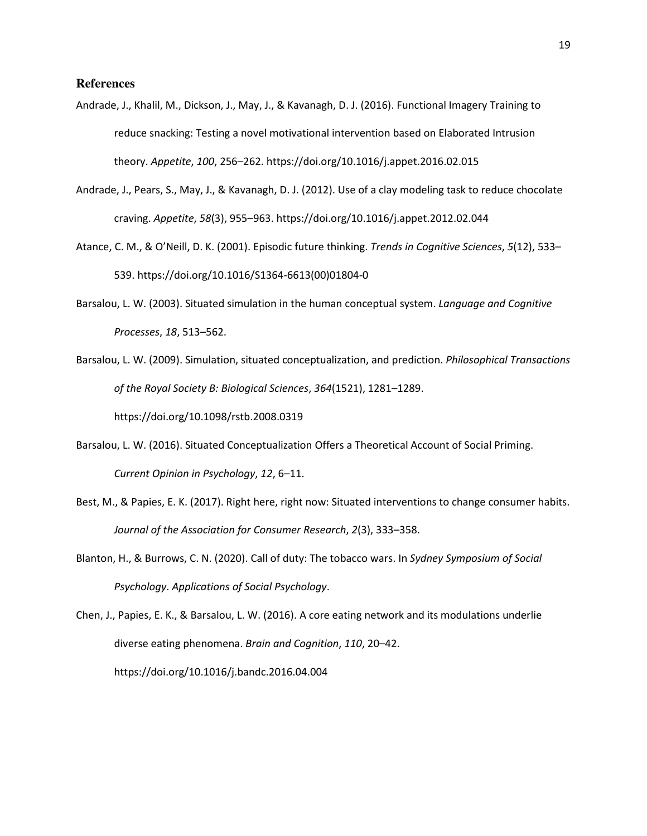#### **References**

- Andrade, J., Khalil, M., Dickson, J., May, J., & Kavanagh, D. J. (2016). Functional Imagery Training to reduce snacking: Testing a novel motivational intervention based on Elaborated Intrusion theory. *Appetite*, *100*, 256–262. https://doi.org/10.1016/j.appet.2016.02.015
- Andrade, J., Pears, S., May, J., & Kavanagh, D. J. (2012). Use of a clay modeling task to reduce chocolate craving. *Appetite*, *58*(3), 955–963. https://doi.org/10.1016/j.appet.2012.02.044
- Atance, C. M., & O'Neill, D. K. (2001). Episodic future thinking. *Trends in Cognitive Sciences*, *5*(12), 533– 539. https://doi.org/10.1016/S1364-6613(00)01804-0
- Barsalou, L. W. (2003). Situated simulation in the human conceptual system. *Language and Cognitive Processes*, *18*, 513–562.
- Barsalou, L. W. (2009). Simulation, situated conceptualization, and prediction. *Philosophical Transactions of the Royal Society B: Biological Sciences*, *364*(1521), 1281–1289.

https://doi.org/10.1098/rstb.2008.0319

- Barsalou, L. W. (2016). Situated Conceptualization Offers a Theoretical Account of Social Priming. *Current Opinion in Psychology*, *12*, 6–11.
- Best, M., & Papies, E. K. (2017). Right here, right now: Situated interventions to change consumer habits. *Journal of the Association for Consumer Research*, *2*(3), 333–358.
- Blanton, H., & Burrows, C. N. (2020). Call of duty: The tobacco wars. In *Sydney Symposium of Social Psychology*. *Applications of Social Psychology*.

Chen, J., Papies, E. K., & Barsalou, L. W. (2016). A core eating network and its modulations underlie diverse eating phenomena. *Brain and Cognition*, *110*, 20–42. https://doi.org/10.1016/j.bandc.2016.04.004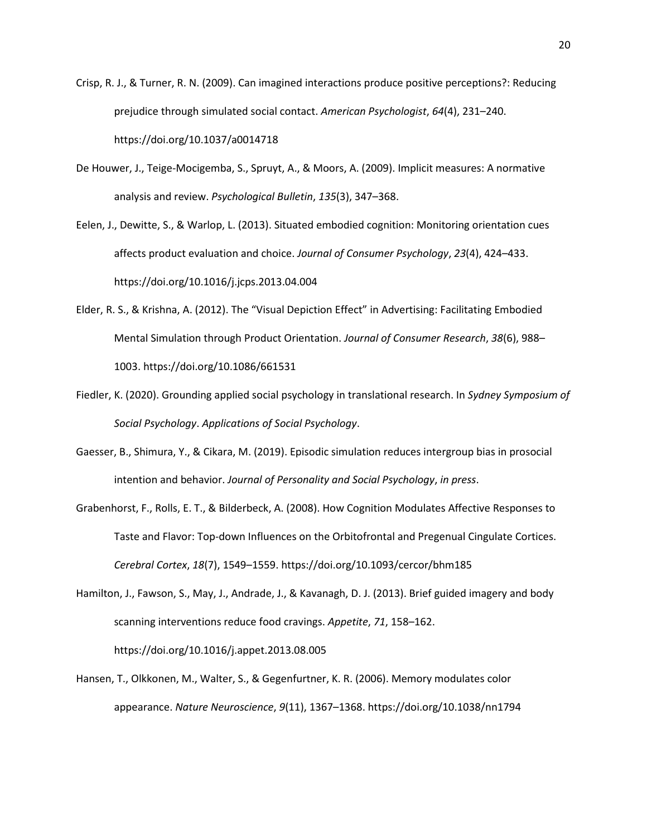- Crisp, R. J., & Turner, R. N. (2009). Can imagined interactions produce positive perceptions?: Reducing prejudice through simulated social contact. *American Psychologist*, *64*(4), 231–240. https://doi.org/10.1037/a0014718
- De Houwer, J., Teige-Mocigemba, S., Spruyt, A., & Moors, A. (2009). Implicit measures: A normative analysis and review. *Psychological Bulletin*, *135*(3), 347–368.
- Eelen, J., Dewitte, S., & Warlop, L. (2013). Situated embodied cognition: Monitoring orientation cues affects product evaluation and choice. *Journal of Consumer Psychology*, *23*(4), 424–433. https://doi.org/10.1016/j.jcps.2013.04.004
- Elder, R. S., & Krishna, A. (2012). The "Visual Depiction Effect" in Advertising: Facilitating Embodied Mental Simulation through Product Orientation. *Journal of Consumer Research*, *38*(6), 988– 1003. https://doi.org/10.1086/661531
- Fiedler, K. (2020). Grounding applied social psychology in translational research. In *Sydney Symposium of Social Psychology*. *Applications of Social Psychology*.
- Gaesser, B., Shimura, Y., & Cikara, M. (2019). Episodic simulation reduces intergroup bias in prosocial intention and behavior. *Journal of Personality and Social Psychology*, *in press*.
- Grabenhorst, F., Rolls, E. T., & Bilderbeck, A. (2008). How Cognition Modulates Affective Responses to Taste and Flavor: Top-down Influences on the Orbitofrontal and Pregenual Cingulate Cortices. *Cerebral Cortex*, *18*(7), 1549–1559. https://doi.org/10.1093/cercor/bhm185
- Hamilton, J., Fawson, S., May, J., Andrade, J., & Kavanagh, D. J. (2013). Brief guided imagery and body scanning interventions reduce food cravings. *Appetite*, *71*, 158–162.

https://doi.org/10.1016/j.appet.2013.08.005

Hansen, T., Olkkonen, M., Walter, S., & Gegenfurtner, K. R. (2006). Memory modulates color appearance. *Nature Neuroscience*, *9*(11), 1367–1368. https://doi.org/10.1038/nn1794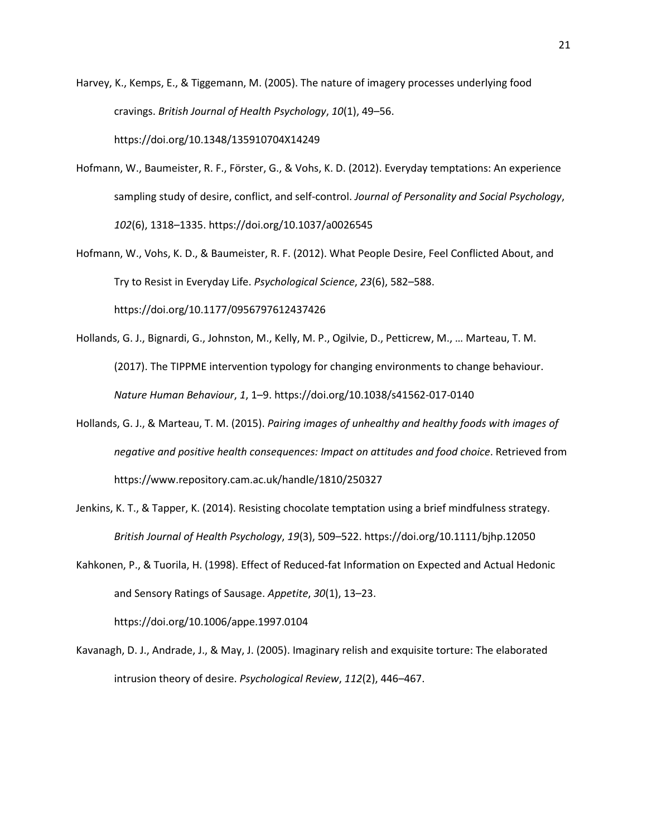- Harvey, K., Kemps, E., & Tiggemann, M. (2005). The nature of imagery processes underlying food cravings. *British Journal of Health Psychology*, *10*(1), 49–56. https://doi.org/10.1348/135910704X14249
- Hofmann, W., Baumeister, R. F., Förster, G., & Vohs, K. D. (2012). Everyday temptations: An experience sampling study of desire, conflict, and self-control. *Journal of Personality and Social Psychology*, *102*(6), 1318–1335. https://doi.org/10.1037/a0026545
- Hofmann, W., Vohs, K. D., & Baumeister, R. F. (2012). What People Desire, Feel Conflicted About, and Try to Resist in Everyday Life. *Psychological Science*, *23*(6), 582–588.

https://doi.org/10.1177/0956797612437426

- Hollands, G. J., Bignardi, G., Johnston, M., Kelly, M. P., Ogilvie, D., Petticrew, M., … Marteau, T. M. (2017). The TIPPME intervention typology for changing environments to change behaviour. *Nature Human Behaviour*, *1*, 1–9. https://doi.org/10.1038/s41562-017-0140
- Hollands, G. J., & Marteau, T. M. (2015). *Pairing images of unhealthy and healthy foods with images of negative and positive health consequences: Impact on attitudes and food choice*. Retrieved from https://www.repository.cam.ac.uk/handle/1810/250327
- Jenkins, K. T., & Tapper, K. (2014). Resisting chocolate temptation using a brief mindfulness strategy. *British Journal of Health Psychology*, *19*(3), 509–522. https://doi.org/10.1111/bjhp.12050
- Kahkonen, P., & Tuorila, H. (1998). Effect of Reduced-fat Information on Expected and Actual Hedonic and Sensory Ratings of Sausage. *Appetite*, *30*(1), 13–23.

https://doi.org/10.1006/appe.1997.0104

Kavanagh, D. J., Andrade, J., & May, J. (2005). Imaginary relish and exquisite torture: The elaborated intrusion theory of desire. *Psychological Review*, *112*(2), 446–467.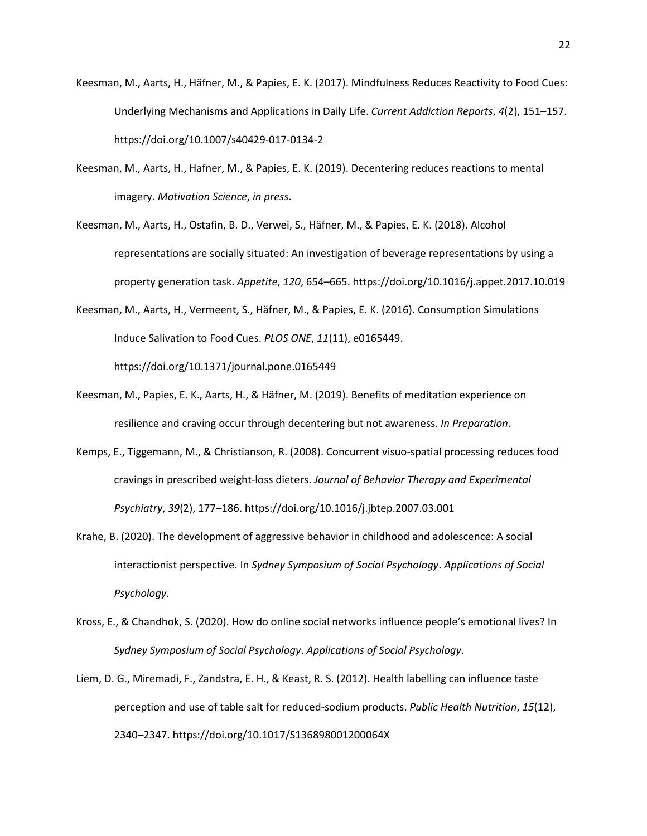- Keesman, M., Aarts, H., Häfner, M., & Papies, E. K. (2017). Mindfulness Reduces Reactivity to Food Cues: Underlying Mechanisms and Applications in Daily Life. *Current Addiction Reports*, *4*(2), 151–157. https://doi.org/10.1007/s40429-017-0134-2
- Keesman, M., Aarts, H., Hafner, M., & Papies, E. K. (2019). Decentering reduces reactions to mental imagery. *Motivation Science*, *in press*.
- Keesman, M., Aarts, H., Ostafin, B. D., Verwei, S., Häfner, M., & Papies, E. K. (2018). Alcohol representations are socially situated: An investigation of beverage representations by using a property generation task. *Appetite*, *120*, 654–665. https://doi.org/10.1016/j.appet.2017.10.019
- Keesman, M., Aarts, H., Vermeent, S., Häfner, M., & Papies, E. K. (2016). Consumption Simulations Induce Salivation to Food Cues. *PLOS ONE*, *11*(11), e0165449. https://doi.org/10.1371/journal.pone.0165449
- Keesman, M., Papies, E. K., Aarts, H., & Häfner, M. (2019). Benefits of meditation experience on resilience and craving occur through decentering but not awareness. *In Preparation*.
- Kemps, E., Tiggemann, M., & Christianson, R. (2008). Concurrent visuo-spatial processing reduces food cravings in prescribed weight-loss dieters. *Journal of Behavior Therapy and Experimental Psychiatry*, *39*(2), 177–186. https://doi.org/10.1016/j.jbtep.2007.03.001
- Krahe, B. (2020). The development of aggressive behavior in childhood and adolescence: A social interactionist perspective. In *Sydney Symposium of Social Psychology*. *Applications of Social Psychology*.
- Kross, E., & Chandhok, S. (2020). How do online social networks influence people's emotional lives? In *Sydney Symposium of Social Psychology*. *Applications of Social Psychology*.
- Liem, D. G., Miremadi, F., Zandstra, E. H., & Keast, R. S. (2012). Health labelling can influence taste perception and use of table salt for reduced-sodium products. *Public Health Nutrition*, *15*(12), 2340–2347. https://doi.org/10.1017/S136898001200064X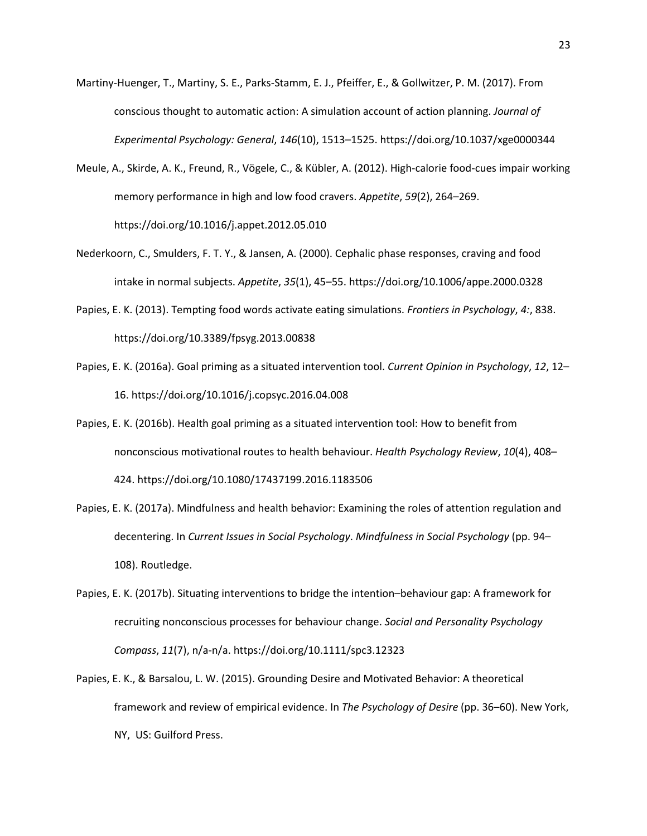- Martiny-Huenger, T., Martiny, S. E., Parks-Stamm, E. J., Pfeiffer, E., & Gollwitzer, P. M. (2017). From conscious thought to automatic action: A simulation account of action planning. *Journal of Experimental Psychology: General*, *146*(10), 1513–1525. https://doi.org/10.1037/xge0000344
- Meule, A., Skirde, A. K., Freund, R., Vögele, C., & Kübler, A. (2012). High-calorie food-cues impair working memory performance in high and low food cravers. *Appetite*, *59*(2), 264–269. https://doi.org/10.1016/j.appet.2012.05.010
- Nederkoorn, C., Smulders, F. T. Y., & Jansen, A. (2000). Cephalic phase responses, craving and food intake in normal subjects. *Appetite*, *35*(1), 45–55. https://doi.org/10.1006/appe.2000.0328
- Papies, E. K. (2013). Tempting food words activate eating simulations. *Frontiers in Psychology*, *4:*, 838. https://doi.org/10.3389/fpsyg.2013.00838
- Papies, E. K. (2016a). Goal priming as a situated intervention tool. *Current Opinion in Psychology*, *12*, 12– 16. https://doi.org/10.1016/j.copsyc.2016.04.008
- Papies, E. K. (2016b). Health goal priming as a situated intervention tool: How to benefit from nonconscious motivational routes to health behaviour. *Health Psychology Review*, *10*(4), 408– 424. https://doi.org/10.1080/17437199.2016.1183506
- Papies, E. K. (2017a). Mindfulness and health behavior: Examining the roles of attention regulation and decentering. In *Current Issues in Social Psychology*. *Mindfulness in Social Psychology* (pp. 94– 108). Routledge.
- Papies, E. K. (2017b). Situating interventions to bridge the intention–behaviour gap: A framework for recruiting nonconscious processes for behaviour change. *Social and Personality Psychology Compass*, *11*(7), n/a-n/a. https://doi.org/10.1111/spc3.12323
- Papies, E. K., & Barsalou, L. W. (2015). Grounding Desire and Motivated Behavior: A theoretical framework and review of empirical evidence. In *The Psychology of Desire* (pp. 36–60). New York, NY, US: Guilford Press.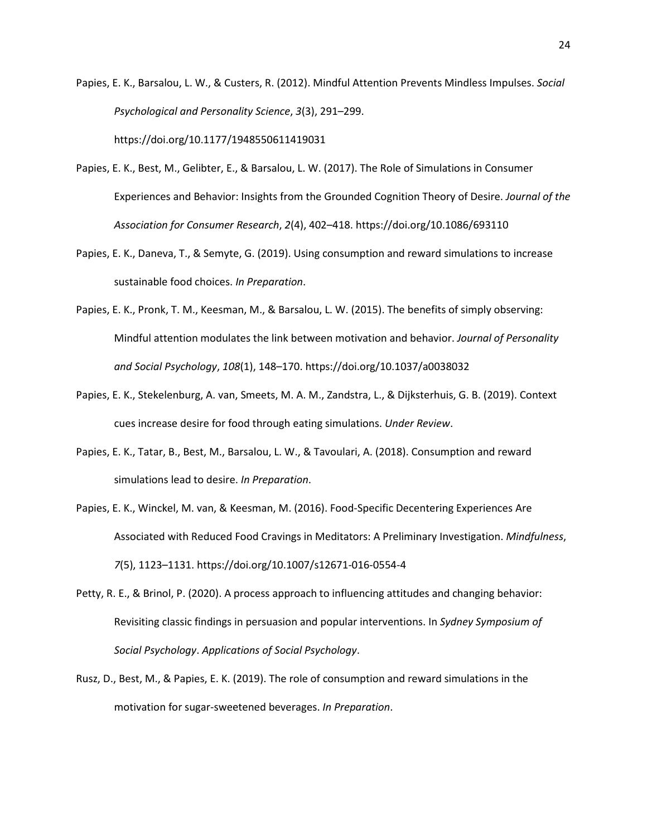Papies, E. K., Barsalou, L. W., & Custers, R. (2012). Mindful Attention Prevents Mindless Impulses. *Social Psychological and Personality Science*, *3*(3), 291–299. https://doi.org/10.1177/1948550611419031

- Papies, E. K., Best, M., Gelibter, E., & Barsalou, L. W. (2017). The Role of Simulations in Consumer Experiences and Behavior: Insights from the Grounded Cognition Theory of Desire. *Journal of the Association for Consumer Research*, *2*(4), 402–418. https://doi.org/10.1086/693110
- Papies, E. K., Daneva, T., & Semyte, G. (2019). Using consumption and reward simulations to increase sustainable food choices. *In Preparation*.
- Papies, E. K., Pronk, T. M., Keesman, M., & Barsalou, L. W. (2015). The benefits of simply observing: Mindful attention modulates the link between motivation and behavior. *Journal of Personality and Social Psychology*, *108*(1), 148–170. https://doi.org/10.1037/a0038032
- Papies, E. K., Stekelenburg, A. van, Smeets, M. A. M., Zandstra, L., & Dijksterhuis, G. B. (2019). Context cues increase desire for food through eating simulations. *Under Review*.
- Papies, E. K., Tatar, B., Best, M., Barsalou, L. W., & Tavoulari, A. (2018). Consumption and reward simulations lead to desire. *In Preparation*.
- Papies, E. K., Winckel, M. van, & Keesman, M. (2016). Food-Specific Decentering Experiences Are Associated with Reduced Food Cravings in Meditators: A Preliminary Investigation. *Mindfulness*, *7*(5), 1123–1131. https://doi.org/10.1007/s12671-016-0554-4
- Petty, R. E., & Brinol, P. (2020). A process approach to influencing attitudes and changing behavior: Revisiting classic findings in persuasion and popular interventions. In *Sydney Symposium of Social Psychology*. *Applications of Social Psychology*.
- Rusz, D., Best, M., & Papies, E. K. (2019). The role of consumption and reward simulations in the motivation for sugar-sweetened beverages. *In Preparation*.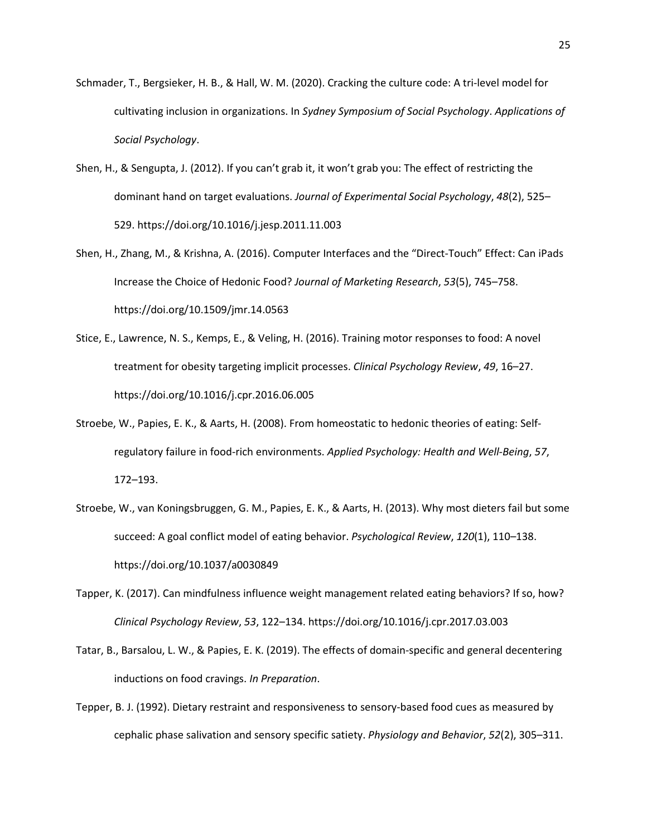- Schmader, T., Bergsieker, H. B., & Hall, W. M. (2020). Cracking the culture code: A tri-level model for cultivating inclusion in organizations. In *Sydney Symposium of Social Psychology*. *Applications of Social Psychology*.
- Shen, H., & Sengupta, J. (2012). If you can't grab it, it won't grab you: The effect of restricting the dominant hand on target evaluations. *Journal of Experimental Social Psychology*, *48*(2), 525– 529. https://doi.org/10.1016/j.jesp.2011.11.003
- Shen, H., Zhang, M., & Krishna, A. (2016). Computer Interfaces and the "Direct-Touch" Effect: Can iPads Increase the Choice of Hedonic Food? *Journal of Marketing Research*, *53*(5), 745–758. https://doi.org/10.1509/jmr.14.0563
- Stice, E., Lawrence, N. S., Kemps, E., & Veling, H. (2016). Training motor responses to food: A novel treatment for obesity targeting implicit processes. *Clinical Psychology Review*, *49*, 16–27. https://doi.org/10.1016/j.cpr.2016.06.005
- Stroebe, W., Papies, E. K., & Aarts, H. (2008). From homeostatic to hedonic theories of eating: Selfregulatory failure in food-rich environments. *Applied Psychology: Health and Well-Being*, *57*, 172–193.
- Stroebe, W., van Koningsbruggen, G. M., Papies, E. K., & Aarts, H. (2013). Why most dieters fail but some succeed: A goal conflict model of eating behavior. *Psychological Review*, *120*(1), 110–138. https://doi.org/10.1037/a0030849
- Tapper, K. (2017). Can mindfulness influence weight management related eating behaviors? If so, how? *Clinical Psychology Review*, *53*, 122–134. https://doi.org/10.1016/j.cpr.2017.03.003
- Tatar, B., Barsalou, L. W., & Papies, E. K. (2019). The effects of domain-specific and general decentering inductions on food cravings. *In Preparation*.
- Tepper, B. J. (1992). Dietary restraint and responsiveness to sensory-based food cues as measured by cephalic phase salivation and sensory specific satiety. *Physiology and Behavior*, *52*(2), 305–311.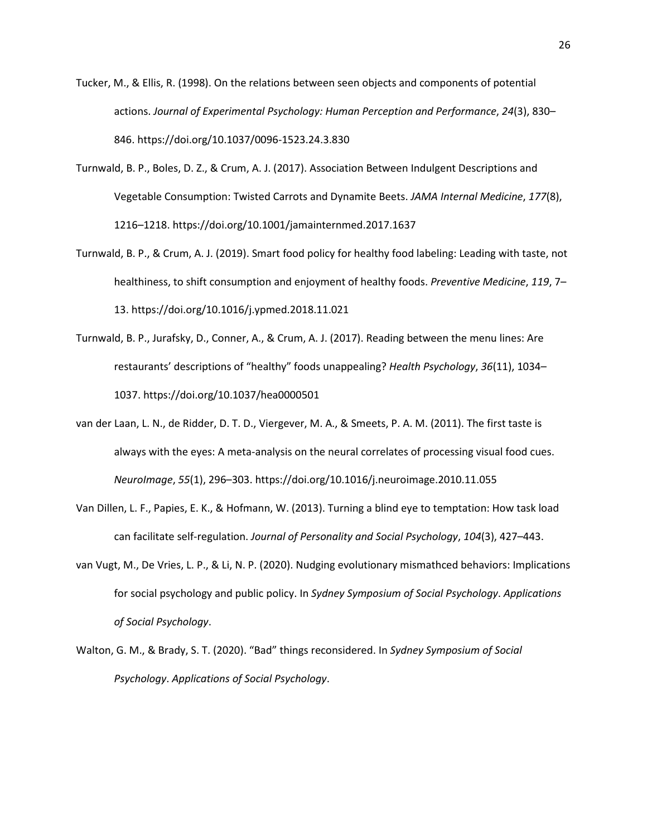- Tucker, M., & Ellis, R. (1998). On the relations between seen objects and components of potential actions. *Journal of Experimental Psychology: Human Perception and Performance*, *24*(3), 830– 846. https://doi.org/10.1037/0096-1523.24.3.830
- Turnwald, B. P., Boles, D. Z., & Crum, A. J. (2017). Association Between Indulgent Descriptions and Vegetable Consumption: Twisted Carrots and Dynamite Beets. *JAMA Internal Medicine*, *177*(8), 1216–1218. https://doi.org/10.1001/jamainternmed.2017.1637
- Turnwald, B. P., & Crum, A. J. (2019). Smart food policy for healthy food labeling: Leading with taste, not healthiness, to shift consumption and enjoyment of healthy foods. *Preventive Medicine*, *119*, 7– 13. https://doi.org/10.1016/j.ypmed.2018.11.021
- Turnwald, B. P., Jurafsky, D., Conner, A., & Crum, A. J. (2017). Reading between the menu lines: Are restaurants' descriptions of "healthy" foods unappealing? *Health Psychology*, *36*(11), 1034– 1037. https://doi.org/10.1037/hea0000501
- van der Laan, L. N., de Ridder, D. T. D., Viergever, M. A., & Smeets, P. A. M. (2011). The first taste is always with the eyes: A meta-analysis on the neural correlates of processing visual food cues. *NeuroImage*, *55*(1), 296–303. https://doi.org/10.1016/j.neuroimage.2010.11.055
- Van Dillen, L. F., Papies, E. K., & Hofmann, W. (2013). Turning a blind eye to temptation: How task load can facilitate self-regulation. *Journal of Personality and Social Psychology*, *104*(3), 427–443.
- van Vugt, M., De Vries, L. P., & Li, N. P. (2020). Nudging evolutionary mismathced behaviors: Implications for social psychology and public policy. In *Sydney Symposium of Social Psychology*. *Applications of Social Psychology*.
- Walton, G. M., & Brady, S. T. (2020). "Bad" things reconsidered. In *Sydney Symposium of Social Psychology*. *Applications of Social Psychology*.